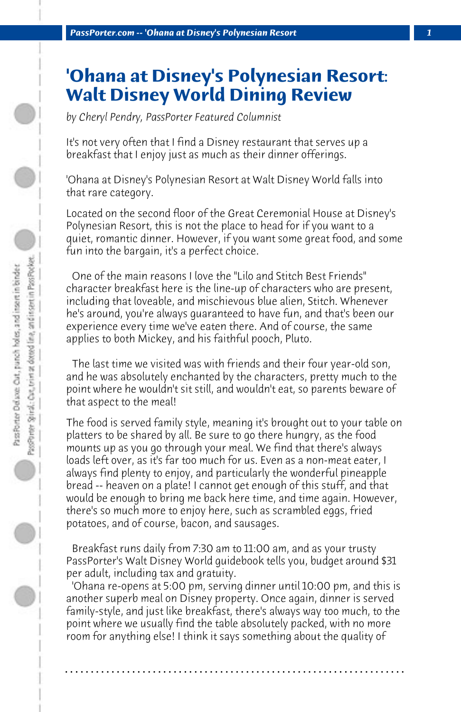## **'Ohana at Disney's Polynesian Resort: Walt Disney World Dining Review**

*by Cheryl Pendry, PassPorter Featured Columnist*

It's not very often that I find a Disney restaurant that serves up a breakfast that I enjoy just as much as their dinner offerings.

'Ohana at Disney's Polynesian Resort at Walt Disney World falls into that rare category.

Located on the second floor of the Great Ceremonial House at Disney's Polynesian Resort, this is not the place to head for if you want to a quiet, romantic dinner. However, if you want some great food, and some fun into the bargain, it's a perfect choice.

 One of the main reasons I love the "Lilo and Stitch Best Friends" character breakfast here is the line-up of characters who are present, including that loveable, and mischievous blue alien, Stitch. Whenever he's around, you're always guaranteed to have fun, and that's been our experience every time we've eaten there. And of course, the same applies to both Mickey, and his faithful pooch, Pluto.

 The last time we visited was with friends and their four year-old son, and he was absolutely enchanted by the characters, pretty much to the point where he wouldn't sit still, and wouldn't eat, so parents beware of that aspect to the meal!

The food is served family style, meaning it's brought out to your table on platters to be shared by all. Be sure to go there hungry, as the food mounts up as you go through your meal. We find that there's always loads left over, as it's far too much for us. Even as a non-meat eater, I always find plenty to enjoy, and particularly the wonderful pineapple bread -- heaven on a plate! I cannot get enough of this stuff, and that would be enough to bring me back here time, and time again. However, there's so much more to enjoy here, such as scrambled eggs, fried potatoes, and of course, bacon, and sausages.

 Breakfast runs daily from 7:30 am to 11:00 am, and as your trusty PassPorter's Walt Disney World guidebook tells you, budget around \$31 per adult, including tax and gratuity.

 'Ohana re-opens at 5:00 pm, serving dinner until 10:00 pm, and this is another superb meal on Disney property. Once again, dinner is served family-style, and just like breakfast, there's always way too much, to the point where we usually find the table absolutely packed, with no more room for anything else! I think it says something about the quality of

**. . . . . . . . . . . . . . . . . . . . . . . . . . . . . . . . . . . . . . . . . . . . . . . . . . . . . . . . . . . . . . . . . .**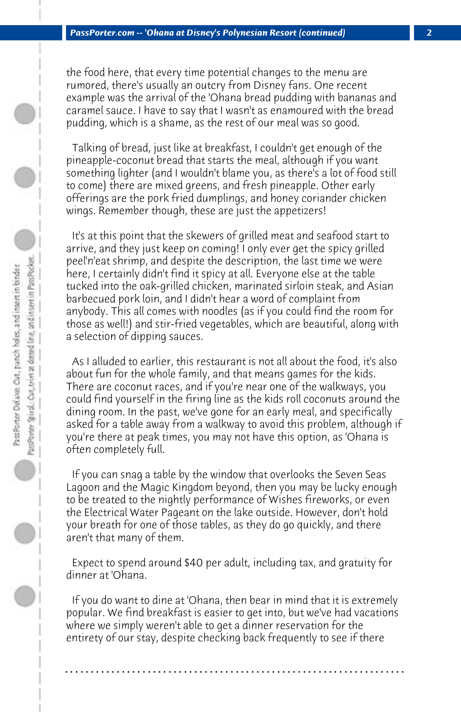the food here, that every time potential changes to the menu are rumored, there's usually an outcry from Disney fans. One recent example was the arrival of the 'Ohana bread pudding with bananas and caramel sauce. I have to say that I wasn't as enamoured with the bread pudding, which is a shame, as the rest of our meal was so good.

 Talking of bread, just like at breakfast, I couldn't get enough of the pineapple-coconut bread that starts the meal, although if you want something lighter (and I wouldn't blame you, as there's a lot of food still to come) there are mixed greens, and fresh pineapple. Other early offerings are the pork fried dumplings, and honey coriander chicken wings. Remember though, these are just the appetizers!

 It's at this point that the skewers of grilled meat and seafood start to arrive, and they just keep on coming! I only ever get the spicy grilled peel'n'eat shrimp, and despite the description, the last time we were here, I certainly didn't find it spicy at all. Everyone else at the table tucked into the oak-grilled chicken, marinated sirloin steak, and Asian barbecued pork loin, and I didn't hear a word of complaint from anybody. This all comes with noodles (as if you could find the room for those as well!) and stir-fried vegetables, which are beautiful, along with a selection of dipping sauces.

 As I alluded to earlier, this restaurant is not all about the food, it's also about fun for the whole family, and that means games for the kids. There are coconut races, and if you're near one of the walkways, you could find yourself in the firing line as the kids roll coconuts around the dining room. In the past, we've gone for an early meal, and specifically asked for a table away from a walkway to avoid this problem, although if you're there at peak times, you may not have this option, as 'Ohana is often completely full.

 If you can snag a table by the window that overlooks the Seven Seas Lagoon and the Magic Kingdom beyond, then you may be lucky enough to be treated to the nightly performance of Wishes fireworks, or even the Electrical Water Pageant on the lake outside. However, don't hold your breath for one of those tables, as they do go quickly, and there aren't that many of them.

 Expect to spend around \$40 per adult, including tax, and gratuity for dinner at 'Ohana.

 If you do want to dine at 'Ohana, then bear in mind that it is extremely popular. We find breakfast is easier to get into, but we've had vacations where we simply weren't able to get a dinner reservation for the entirety of our stay, despite checking back frequently to see if there

**. . . . . . . . . . . . . . . . . . . . . . . . . . . . . . . . . . . . . . . . . . . . . . . . . . . . . . . . . . . . . . . . . .**